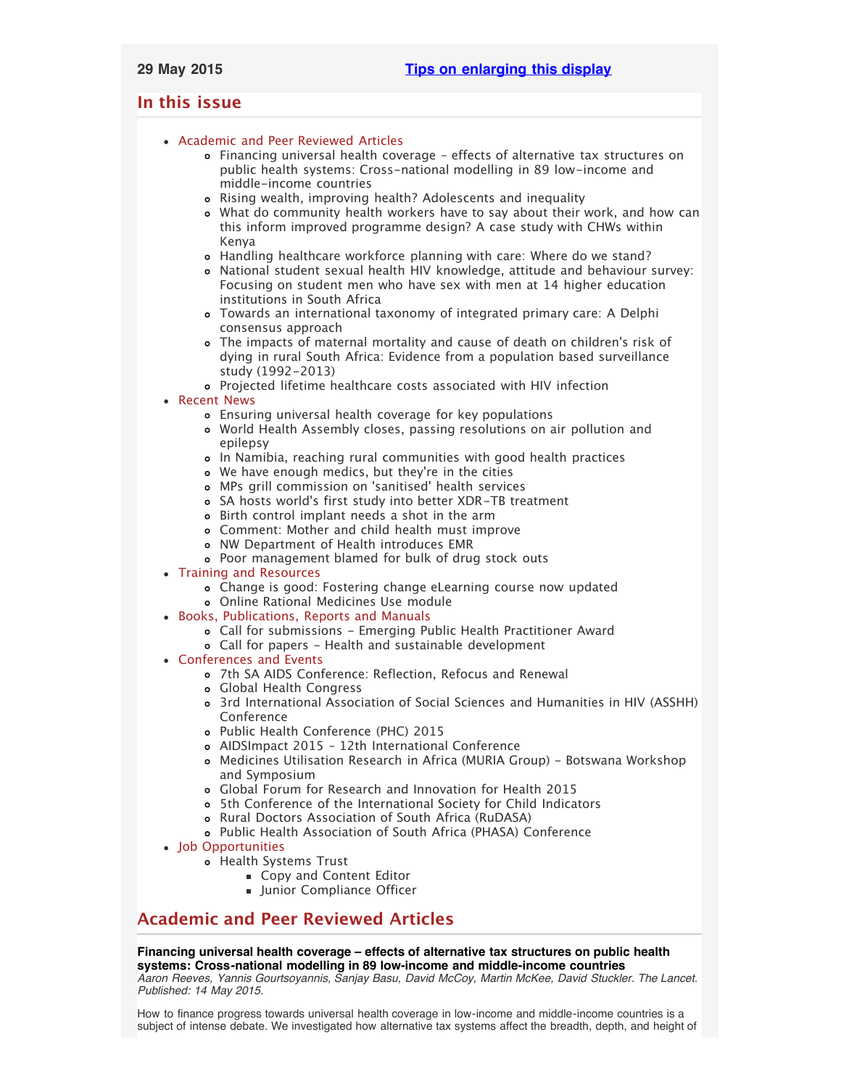# <span id="page-0-3"></span><span id="page-0-2"></span>**In this issue**

- [Academic and Peer Reviewed Articles](#page-0-0)
	- [Financing universal health coverage effects of alternative tax structures on](#page-0-1) [public health systems: Cross-national modelling in 89 low-income and](#page-0-1) [middle-income countries](#page-0-1)
	- [Rising wealth, improving health? Adolescents and inequality](#page-1-0)
	- [What do community health workers have to say about their work, and how can](#page-1-1) [this inform improved programme design? A case study with CHWs within](#page-1-1) [Kenya](#page-1-1)
	- [Handling healthcare workforce planning with care: Where do we stand?](#page-1-2)
	- [National student sexual health HIV knowledge, attitude and behaviour survey:](#page-1-3) [Focusing on student men who have sex with men at 14 higher education](#page-1-3) [institutions in South Africa](#page-1-3)
	- [Towards an international taxonomy of integrated primary care: A Delphi](#page-1-4) [consensus approach](#page-1-4)
	- [The impacts of maternal mortality and cause of death on children](#page-1-5)'s risk of [dying in rural South Africa: Evidence from a population based surveillance](#page-1-5) [study \(1992-2013\)](#page-1-5)
	- [Projected lifetime healthcare costs associated with HIV infection](#page-1-6)
- [Recent News](#page-2-0)
	- [Ensuring universal health coverage for key populations](#page-2-1)
	- [World Health Assembly closes, passing resolutions on air pollution and](#page-2-2) [epilepsy](#page-2-2)
	- [In Namibia, reaching rural communities with good health practices](#page-2-3)
	- [We have enough medics, but they](#page-2-4)'re in the cities
	- MPs grill commission on ['sanitised' health services](#page-2-5)
	- SA hosts world['s first study into better XDR-TB treatment](#page-2-6)
	- [Birth control implant needs a shot in the arm](#page-2-7)
	- [Comment: Mother and child health must improve](#page-3-0)
	- [NW Department of Health introduces EMR](#page-3-1)
	- [Poor management blamed for bulk of drug stock outs](#page-3-2)
- [Training and Resources](#page-3-3)
	- [Change is good: Fostering change eLearning course now updated](#page-3-4)
	- [Online Rational Medicines Use module](#page-3-5)
- [Books, Publications, Reports and Manuals](#page-3-6)
	- [Call for submissions Emerging Public Health Practitioner Award](#page-3-7)
	- [Call for papers Health and sustainable development](#page-3-8)
- [Conferences and Events](#page-3-9)
	- [7th SA AIDS Conference: Reflection, Refocus and Renewal](#page-4-0)
	- [Global Health Congress](#page-4-1)
	- [3rd International Association of Social Sciences and Humanities in HIV \(ASSHH\)](#page-4-2) **[Conference](#page-4-2)**
	- [Public Health Conference \(PHC\) 2015](#page-4-3)
	- [AIDSImpact 2015 12th International Conference](#page-4-4)
	- [Medicines Utilisation Research in Africa \(MURIA Group\) Botswana Workshop](#page-4-5) [and Symposium](#page-4-5)
	- [Global Forum for Research and Innovation for Health 2015](#page-4-6)
	- [5th Conference of the International Society for Child Indicators](#page-5-0)
	- o [Rural Doctors Association of South Africa \(RuDASA\)](#page-5-1)
	- [Public Health Association of South Africa \(PHASA\) Conference](#page-5-2)
- [Job Opportunities](#page-5-3)
	- [Health Systems Trust](#page-5-4)
		- [Copy and Content Editor](#page-0-2)
		- **[Junior Compliance Officer](#page-0-2)**

# <span id="page-0-0"></span>**Academic and Peer Reviewed Articles**

## <span id="page-0-1"></span>**Financing universal health coverage – effects of alternative tax structures on public health systems: Cross-national modelling in 89 low-income and middle-income countries**

*Aaron Reeves, Yannis Gourtsoyannis, Sanjay Basu, David McCoy, Martin McKee, David Stuckler. The Lancet. Published: 14 May 2015.*

How to finance progress towards universal health coverage in low-income and middle-income countries is a subject of intense debate. We investigated how alternative tax systems affect the breadth, depth, and height of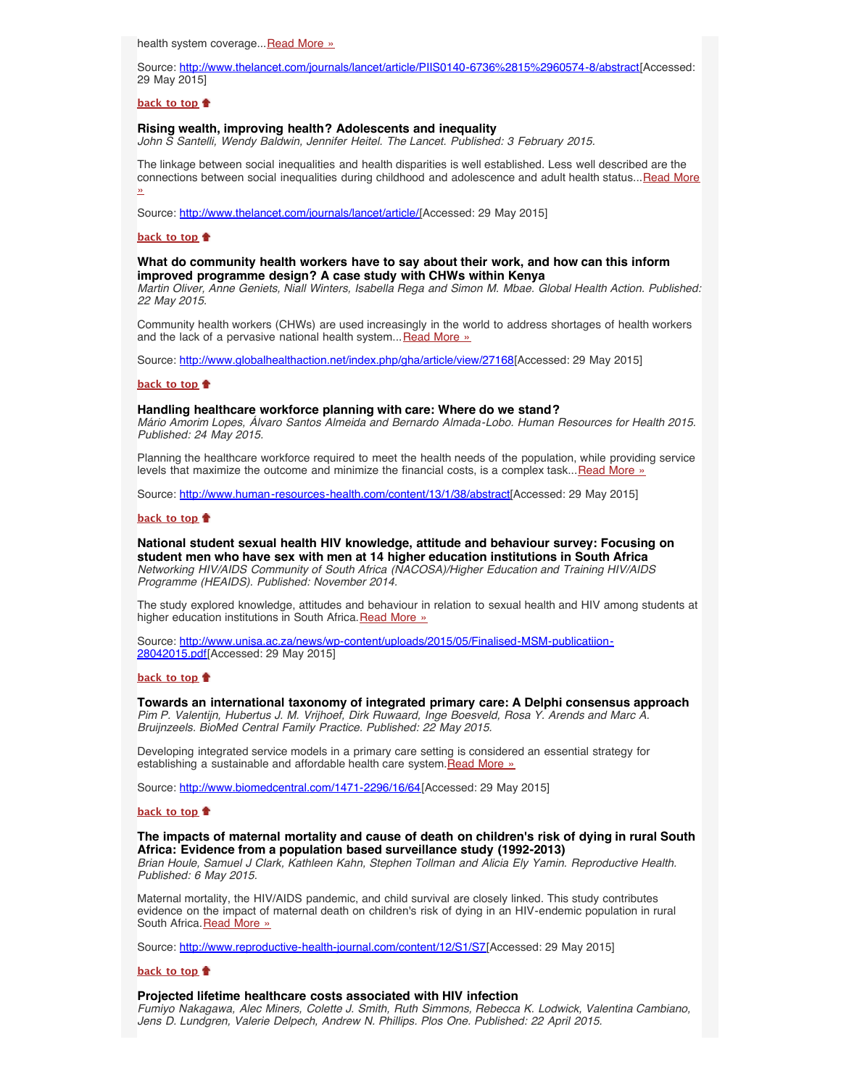health system coverage... [Read More »](http://www.thelancet.com/journals/lancet/article/PIIS0140-6736%2815%2960574-8/abstract)

Source: <http://www.thelancet.com/journals/lancet/article/PIIS0140-6736%2815%2960574-8/abstract>[Accessed: 29 May 2015]

### **[back to top](#page-0-3)**

### <span id="page-1-0"></span>**Rising wealth, improving health? Adolescents and inequality**

*John S Santelli, Wendy Baldwin, Jennifer Heitel. The Lancet. Published: 3 February 2015.*

The linkage between social inequalities and health disparities is well established. Less well described are the connections between social inequalities during childhood and adolescence and adult health status... [Read More](http://www.thelancet.com/journals/lancet/article/PIIS0140-6736%2814%2961892-4/fulltext?elsca1=etoc&elsca2=email&elsca3=0140-6736_20150523_385_9982_&elsca4=Public%20Health|Infectious%20Diseases|Health%20Policy|Internal%2FFamily%20Medicine|General%20Surgery|Lancet) [»](http://www.thelancet.com/journals/lancet/article/PIIS0140-6736%2814%2961892-4/fulltext?elsca1=etoc&elsca2=email&elsca3=0140-6736_20150523_385_9982_&elsca4=Public%20Health|Infectious%20Diseases|Health%20Policy|Internal%2FFamily%20Medicine|General%20Surgery|Lancet)

Source: [http://www.thelancet.com/journals/lancet/article/\[](http://www.thelancet.com/journals/lancet/article/PIIS0140-6736%2814%2961892-4/fulltext?elsca1=etoc&elsca2=email&elsca3=0140-6736_20150523_385_9982_&elsca4=Public%20Health|Infectious%20Diseases|Health%20Policy|Internal%2FFamily%20Medicine|General%20Surgery|Lancet)Accessed: 29 May 2015]

#### **[back to top](#page-0-3)**

### <span id="page-1-1"></span>**What do community health workers have to say about their work, and how can this inform improved programme design? A case study with CHWs within Kenya**

*Martin Oliver, Anne Geniets, Niall Winters, Isabella Rega and Simon M. Mbae. Global Health Action. Published: 22 May 2015.*

Community health workers (CHWs) are used increasingly in the world to address shortages of health workers and the lack of a pervasive national health system... [Read More »](http://www.globalhealthaction.net/index.php/gha/article/view/27168)

Source: [http://www.globalhealthaction.net/index.php/gha/article/view/27168\[](http://www.globalhealthaction.net/index.php/gha/article/view/27168)Accessed: 29 May 2015]

### **[back to top](#page-0-3)**

### <span id="page-1-2"></span>**Handling healthcare workforce planning with care: Where do we stand?**

*Mário Amorim Lopes, Álvaro Santos Almeida and Bernardo Almada-Lobo. Human Resources for Health 2015. Published: 24 May 2015.*

Planning the healthcare workforce required to meet the health needs of the population, while providing service levels that maximize the outcome and minimize the financial costs, is a complex task... [Read More »](http://www.human-resources-health.com/content/13/1/38/abstract)

Source: [http://www.human-resources-health.com/content/13/1/38/abstract\[](http://www.human-resources-health.com/content/13/1/38/abstract)Accessed: 29 May 2015]

### **[back to top](#page-0-3)**

<span id="page-1-3"></span>**National student sexual health HIV knowledge, attitude and behaviour survey: Focusing on student men who have sex with men at 14 higher education institutions in South Africa** *Networking HIV/AIDS Community of South Africa (NACOSA)/Higher Education and Training HIV/AIDS Programme (HEAIDS). Published: November 2014.*

The study explored knowledge, attitudes and behaviour in relation to sexual health and HIV among students at higher education institutions in South Africa. [Read More »](http://www.hst.org.za/publications/national-student-sexual-health-hiv-knowledge-attitude-and-behaviour-survey-focusing-stu)

Source: [http://www.unisa.ac.za/news/wp-content/uploads/2015/05/Finalised-MSM-publicatiion-](http://www.unisa.ac.za/news/wp-content/uploads/2015/05/Finalised-MSM-publicatiion-28042015.pdf)[28042015.pdf](http://www.unisa.ac.za/news/wp-content/uploads/2015/05/Finalised-MSM-publicatiion-28042015.pdf)[Accessed: 29 May 2015]

### **[back to top](#page-0-3)**

### <span id="page-1-4"></span>**Towards an international taxonomy of integrated primary care: A Delphi consensus approach**

*Pim P. Valentijn, Hubertus J. M. Vrijhoef, Dirk Ruwaard, Inge Boesveld, Rosa Y. Arends and Marc A. Bruijnzeels. BioMed Central Family Practice. Published: 22 May 2015.*

Developing integrated service models in a primary care setting is considered an essential strategy for establishing a sustainable and affordable health care system. [Read More »](http://www.biomedcentral.com/1471-2296/16/64)

Source: <http://www.biomedcentral.com/1471-2296/16/64>[Accessed: 29 May 2015]

#### **[back to top](#page-0-3)**

# <span id="page-1-5"></span>**The impacts of maternal mortality and cause of death on children's risk of dying in rural South Africa: Evidence from a population based surveillance study (1992-2013)**

*Brian Houle, Samuel J Clark, Kathleen Kahn, Stephen Tollman and Alicia Ely Yamin. Reproductive Health. Published: 6 May 2015.*

Maternal mortality, the HIV/AIDS pandemic, and child survival are closely linked. This study contributes evidence on the impact of maternal death on children's risk of dying in an HIV-endemic population in rural South Africa. [Read More »](http://www.reproductive-health-journal.com/content/12/S1/S7)

Source: [http://www.reproductive-health-journal.com/content/12/S1/S7\[](http://www.reproductive-health-journal.com/content/12/S1/S7)Accessed: 29 May 2015]

### **[back to top](#page-0-3)**

## **Projected lifetime healthcare costs associated with HIV infection**

<span id="page-1-6"></span>*Fumiyo Nakagawa, Alec Miners, Colette J. Smith, Ruth Simmons, Rebecca K. Lodwick, Valentina Cambiano, Jens D. Lundgren, Valerie Delpech, Andrew N. Phillips. Plos One. Published: 22 April 2015.*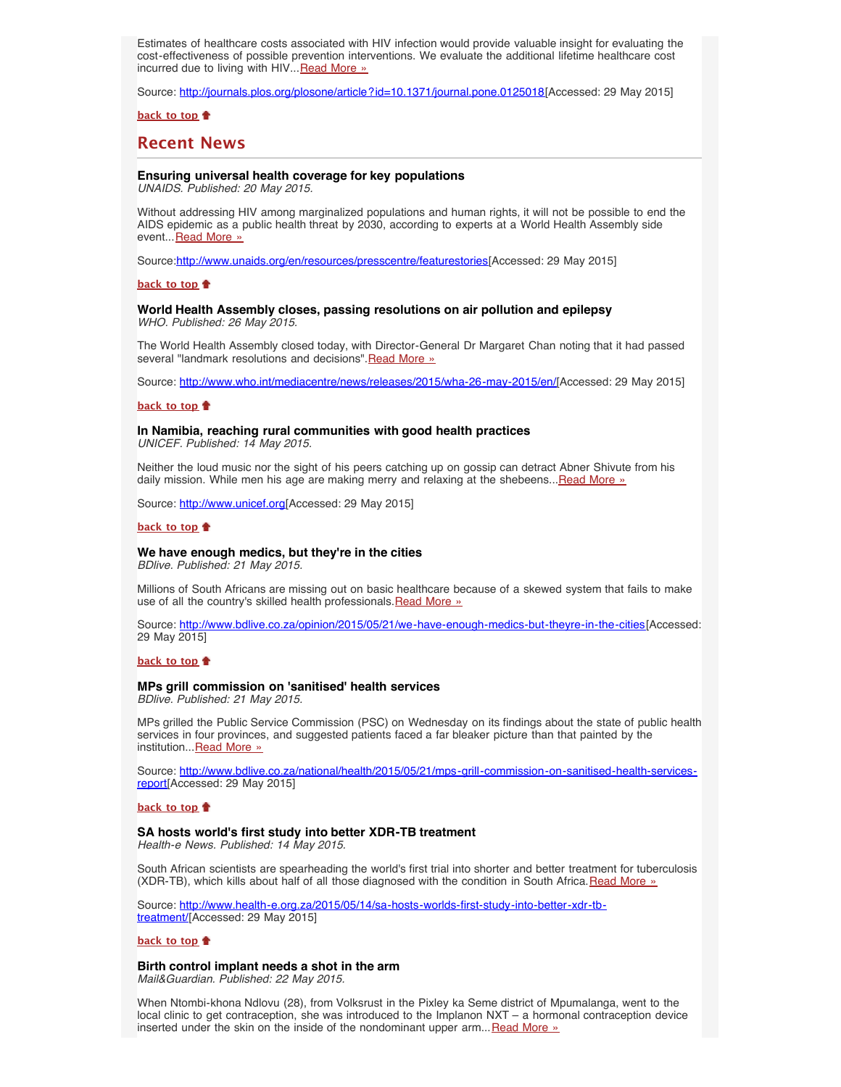Estimates of healthcare costs associated with HIV infection would provide valuable insight for evaluating the cost-effectiveness of possible prevention interventions. We evaluate the additional lifetime healthcare cost incurred due to living with HIV... [Read More »](http://journals.plos.org/plosone/article?id=10.1371/journal.pone.0125018)

Source: <http://journals.plos.org/plosone/article?id=10.1371/journal.pone.0125018>[Accessed: 29 May 2015]

**[back to top](#page-0-3)**

# <span id="page-2-0"></span>**Recent News**

## <span id="page-2-1"></span>**Ensuring universal health coverage for key populations**

*UNAIDS. Published: 20 May 2015.*

Without addressing HIV among marginalized populations and human rights, it will not be possible to end the AIDS epidemic as a public health threat by 2030, according to experts at a World Health Assembly side event... [Read More »](http://www.hst.org.za/news/ensuring-universal-health-coverage-key-populations)

Source:[http://www.unaids.org/en/resources/presscentre/featurestories\[](http://www.unaids.org/en/resources/presscentre/featurestories/2015/may/20150520_universalhealthcoverage)Accessed: 29 May 2015]

### **[back to top](#page-0-3)**

### <span id="page-2-2"></span>**World Health Assembly closes, passing resolutions on air pollution and epilepsy** *WHO. Published: 26 May 2015.*

The World Health Assembly closed today, with Director-General Dr Margaret Chan noting that it had passed several "landmark resolutions and decisions". [Read More »](http://www.hst.org.za/news/world-health-assembly-closes-passing-resolutions-air-pollution-and-epilepsy)

Source: [http://www.who.int/mediacentre/news/releases/2015/wha-26-may-2015/en/\[](http://www.who.int/mediacentre/news/releases/2015/wha-26-may-2015/en/)Accessed: 29 May 2015]

### **[back to top](#page-0-3)**

# <span id="page-2-3"></span>**In Namibia, reaching rural communities with good health practices**

*UNICEF. Published: 14 May 2015.*

Neither the loud music nor the sight of his peers catching up on gossip can detract Abner Shivute from his daily mission. While men his age are making merry and relaxing at the shebeens... [Read More »](http://www.hst.org.za/news/namibia-reaching-rural-communities-good-health-practices)

Source: [http://www.unicef.org](http://www.unicef.org/infobycountry/namibia_81895.html?utm_source=unicef_news&utm_medium=rss&utm_campaign=rss_link)[Accessed: 29 May 2015]

#### **[back to top](#page-0-3)**

### <span id="page-2-4"></span>**We have enough medics, but they're in the cities**

*BDlive. Published: 21 May 2015.*

Millions of South Africans are missing out on basic healthcare because of a skewed system that fails to make use of all the country's skilled health professionals. [Read More »](http://www.hst.org.za/news/we-have-enough-medics-they-re-cities)

Source: [http://www.bdlive.co.za/opinion/2015/05/21/we-have-enough-medics-but-theyre-in-the-cities\[](http://www.bdlive.co.za/opinion/2015/05/21/we-have-enough-medics-but-theyre-in-the-cities)Accessed: 29 May 2015]

### **[back to top](#page-0-3)**

## <span id="page-2-5"></span>**MPs grill commission on 'sanitised' health services**

*BDlive. Published: 21 May 2015.*

MPs grilled the Public Service Commission (PSC) on Wednesday on its findings about the state of public health services in four provinces, and suggested patients faced a far bleaker picture than that painted by the institution... [Read More »](http://www.bdlive.co.za/national/health/2015/05/21/mps-grill-commission-on-sanitised-health-services-report)

Source: [http://www.bdlive.co.za/national/health/2015/05/21/mps-grill-commission-on-sanitised-health-services](http://www.bdlive.co.za/national/health/2015/05/21/mps-grill-commission-on-sanitised-health-services-report)[report\[](http://www.bdlive.co.za/national/health/2015/05/21/mps-grill-commission-on-sanitised-health-services-report)Accessed: 29 May 2015]

### **[back to top](#page-0-3)**

### <span id="page-2-6"></span>**SA hosts world's first study into better XDR-TB treatment**

*Health-e News. Published: 14 May 2015.*

South African scientists are spearheading the world's first trial into shorter and better treatment for tuberculosis (XDR-TB), which kills about half of all those diagnosed with the condition in South Africa. [Read More »](http://www.hst.org.za/news/sa-hosts-world-s-first-study-better-xdr-tb-treatment)

Source: [http://www.health-e.org.za/2015/05/14/sa-hosts-worlds-first-study-into-better-xdr-tb](http://www.health-e.org.za/2015/05/14/sa-hosts-worlds-first-study-into-better-xdr-tb-treatment/)[treatment/\[](http://www.health-e.org.za/2015/05/14/sa-hosts-worlds-first-study-into-better-xdr-tb-treatment/)Accessed: 29 May 2015]

### **[back to top](#page-0-3)**

<span id="page-2-7"></span>**Birth control implant needs a shot in the arm**

*Mail&Guardian. Published: 22 May 2015.*

When Ntombi-khona Ndlovu (28), from Volksrust in the Pixley ka Seme district of Mpumalanga, went to the local clinic to get contraception, she was introduced to the Implanon NXT – a hormonal contraception device inserted under the skin on the inside of the nondominant upper arm... $Read More$ »</u>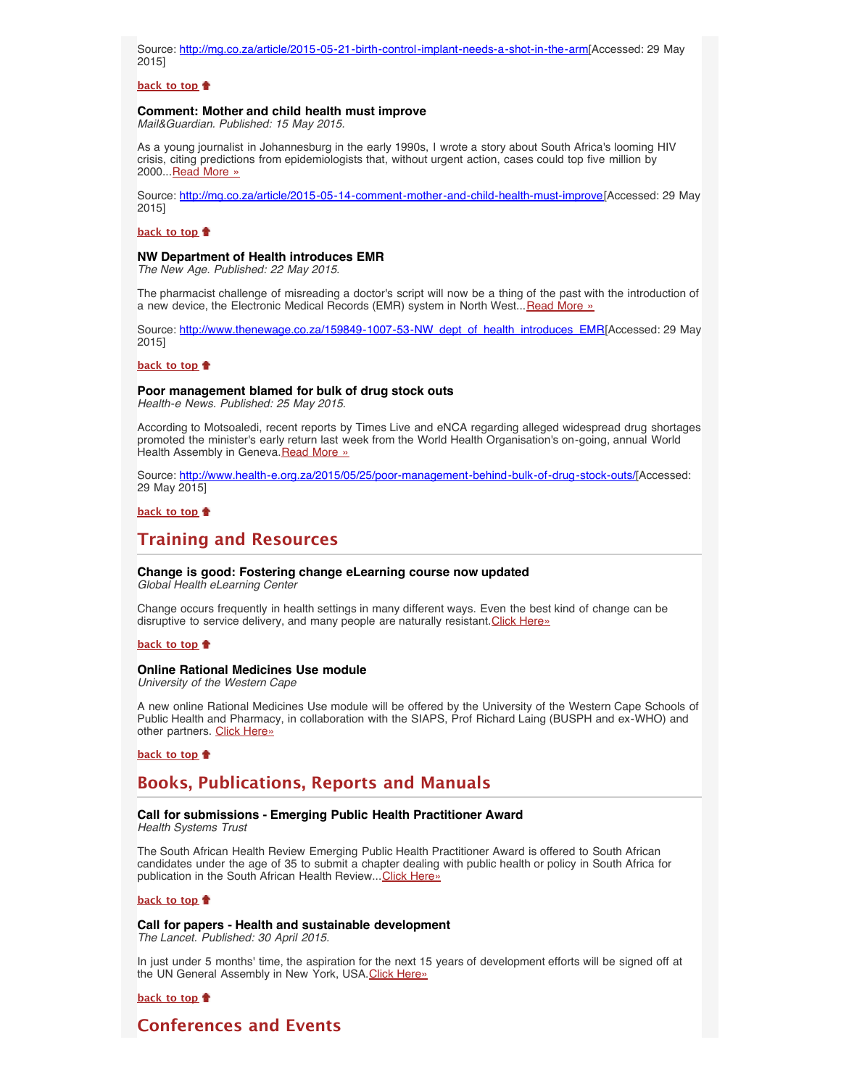Source: [http://mg.co.za/article/2015-05-21-birth-control-implant-needs-a-shot-in-the-arm\[](http://mg.co.za/article/2015-05-21-birth-control-implant-needs-a-shot-in-the-arm)Accessed: 29 May 2015]

### **[back to top](#page-0-3)**

### <span id="page-3-0"></span>**Comment: Mother and child health must improve**

*Mail&Guardian. Published: 15 May 2015.*

As a young journalist in Johannesburg in the early 1990s, I wrote a story about South Africa's looming HIV crisis, citing predictions from epidemiologists that, without urgent action, cases could top five million by 2000...[Read More »](http://www.hst.org.za/news/comment-mother-and-child-health-must-improve)

Source: [http://mg.co.za/article/2015-05-14-comment-mother-and-child-health-must-improve\[](http://mg.co.za/article/2015-05-14-comment-mother-and-child-health-must-improve)Accessed: 29 May 2015]

### **[back to top](#page-0-3)**

### <span id="page-3-1"></span>**NW Department of Health introduces EMR**

*The New Age. Published: 22 May 2015.*

The pharmacist challenge of misreading a doctor's script will now be a thing of the past with the introduction of a new device, the Electronic Medical Records (EMR) system in North West... [Read More »](http://www.thenewage.co.za/159849-1007-53-NW_dept_of_health_introduces_EMR)

Source: [http://www.thenewage.co.za/159849-1007-53-NW\\_dept\\_of\\_health\\_introduces\\_EMR\[](http://www.thenewage.co.za/159849-1007-53-NW_dept_of_health_introduces_EMR)Accessed: 29 May 2015]

### **[back to top](#page-0-3)**

## <span id="page-3-2"></span>**Poor management blamed for bulk of drug stock outs**

*Health-e News. Published: 25 May 2015.*

According to Motsoaledi, recent reports by Times Live and eNCA regarding alleged widespread drug shortages promoted the minister's early return last week from the World Health Organisation's on-going, annual World Health Assembly in Geneva. [Read More »](http://www.hst.org.za/news/poor-management-blamed-bulk-drug-stock-outs)

Source: <http://www.health-e.org.za/2015/05/25/poor-management-behind-bulk-of-drug-stock-outs/>[Accessed: 29 May 2015]

## **[back to top](#page-0-3)**

# <span id="page-3-3"></span>**Training and Resources**

# <span id="page-3-4"></span>**Change is good: Fostering change eLearning course now updated**

*Global Health eLearning Center*

Change occurs frequently in health settings in many different ways. Even the best kind of change can be disruptive to service delivery, and many people are naturally resistant. [Click Here»](http://www.globalhealthlearning.org/course/fostering-change-health-services-update)

### **[back to top](#page-0-3)**

### <span id="page-3-5"></span>**Online Rational Medicines Use module**

*University of the Western Cape*

A new online Rational Medicines Use module will be offered by the University of the Western Cape Schools of Public Health and Pharmacy, in collaboration with the SIAPS, Prof Richard Laing (BUSPH and ex-WHO) and other partners. [Click Here»](http://www.uwc.ac.za/Faculties/CHS/soph/News/Pages/NEW-Online-Rational-Medicines-Use-Module.aspx)

#### **[back to top](#page-0-3)**

# <span id="page-3-6"></span>**Books, Publications, Reports and Manuals**

# <span id="page-3-7"></span>**Call for submissions - Emerging Public Health Practitioner Award**

*Health Systems Trust*

The South African Health Review Emerging Public Health Practitioner Award is offered to South African candidates under the age of 35 to submit a chapter dealing with public health or policy in South Africa for publication in the South African Health Review... [Click Here»](http://www.hst.org.za/news/call-submissions-emerging-public-health-practitioner-award)

### **[back to top](#page-0-3)**

<span id="page-3-8"></span>**Call for papers - Health and sustainable development** *The Lancet. Published: 30 April 2015.*

In just under 5 months' time, the aspiration for the next 15 years of development efforts will be signed off at the UN General Assembly in New York, USA. [Click Here»](http://www.thelancet.com/journals/langlo/article/PIIS2214-109X%2815%2900002-9/fulltext?elsca1=etoc&elsca2=email&elsca3=2214-109X_201506_3_6_&elsca4=Epidemiology|Public%20Health|Health%20Policy|Lancet)

### **[back to top](#page-0-3)**

# <span id="page-3-9"></span>**Conferences and Events**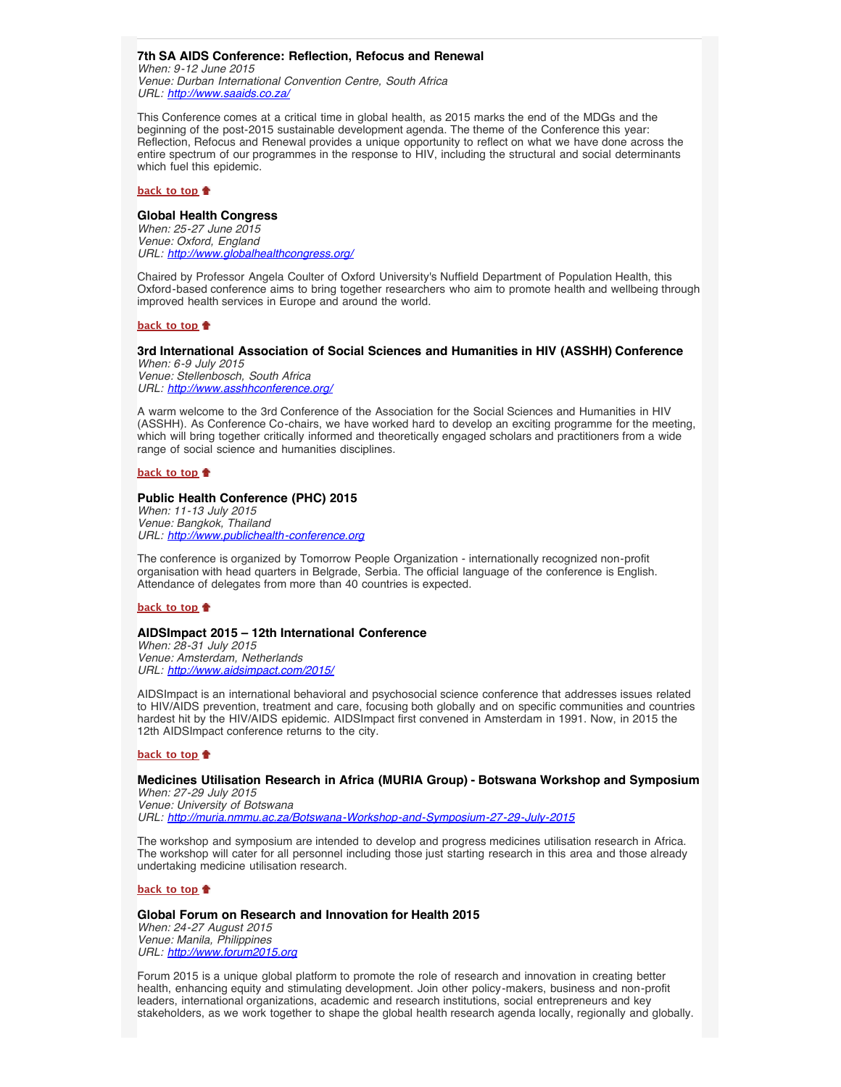# <span id="page-4-0"></span>**7th SA AIDS Conference: Reflection, Refocus and Renewal**

*When: 9-12 June 2015 Venue: Durban International Convention Centre, South Africa URL: <http://www.saaids.co.za/>*

This Conference comes at a critical time in global health, as 2015 marks the end of the MDGs and the beginning of the post-2015 sustainable development agenda. The theme of the Conference this year: Reflection, Refocus and Renewal provides a unique opportunity to reflect on what we have done across the entire spectrum of our programmes in the response to HIV, including the structural and social determinants which fuel this epidemic.

### **[back to top](#page-0-3)**

## <span id="page-4-1"></span>**Global Health Congress**

*When: 25-27 June 2015 Venue: Oxford, England URL: <http://www.globalhealthcongress.org/>*

Chaired by Professor Angela Coulter of Oxford University's Nuffield Department of Population Health, this Oxford-based conference aims to bring together researchers who aim to promote health and wellbeing through improved health services in Europe and around the world.

### **[back to top](#page-0-3)**

# <span id="page-4-2"></span>**3rd International Association of Social Sciences and Humanities in HIV (ASSHH) Conference**

*When: 6-9 July 2015 Venue: Stellenbosch, South Africa URL: <http://www.asshhconference.org/>*

A warm welcome to the 3rd Conference of the Association for the Social Sciences and Humanities in HIV (ASSHH). As Conference Co-chairs, we have worked hard to develop an exciting programme for the meeting, which will bring together critically informed and theoretically engaged scholars and practitioners from a wide range of social science and humanities disciplines.

### **[back to top](#page-0-3)**

# <span id="page-4-3"></span>**Public Health Conference (PHC) 2015**

*When: 11-13 July 2015 Venue: Bangkok, Thailand URL: [http://www.publichealth-conference.org](http://www.publichealth-conference.org/)*

The conference is organized by Tomorrow People Organization - internationally recognized non-profit organisation with head quarters in Belgrade, Serbia. The official language of the conference is English. Attendance of delegates from more than 40 countries is expected.

## **[back to top](#page-0-3)**

### <span id="page-4-4"></span>**AIDSImpact 2015 – 12th International Conference**

*When: 28-31 July 2015 Venue: Amsterdam, Netherlands URL: <http://www.aidsimpact.com/2015/>*

AIDSImpact is an international behavioral and psychosocial science conference that addresses issues related to HIV/AIDS prevention, treatment and care, focusing both globally and on specific communities and countries hardest hit by the HIV/AIDS epidemic. AIDSImpact first convened in Amsterdam in 1991. Now, in 2015 the 12th AIDSImpact conference returns to the city.

### **[back to top](#page-0-3)**

# <span id="page-4-5"></span>**Medicines Utilisation Research in Africa (MURIA Group) - Botswana Workshop and Symposium**

*When: 27-29 July 2015 Venue: University of Botswana URL: <http://muria.nmmu.ac.za/Botswana-Workshop-and-Symposium-27-29-July-2015>*

The workshop and symposium are intended to develop and progress medicines utilisation research in Africa. The workshop will cater for all personnel including those just starting research in this area and those already undertaking medicine utilisation research.

### **[back to top](#page-0-3)**

# <span id="page-4-6"></span>**Global Forum on Research and Innovation for Health 2015** *When: 24-27 August 2015*

*Venue: Manila, Philippines URL: [http://www.forum2015.org](http://www.forum2015.org/)*

Forum 2015 is a unique global platform to promote the role of research and innovation in creating better health, enhancing equity and stimulating development. Join other policy-makers, business and non-profit leaders, international organizations, academic and research institutions, social entrepreneurs and key stakeholders, as we work together to shape the global health research agenda locally, regionally and globally.